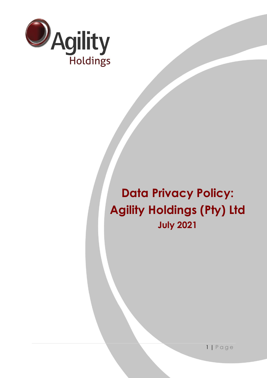

# **Data Privacy Policy: Agility Holdings (Pty) Ltd July 2021**

1 | P a g e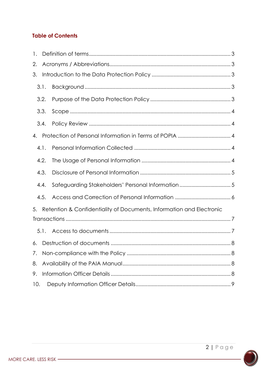# **Table of Contents**

| 1.   |                                                                      |                                                   |  |  |  |  |
|------|----------------------------------------------------------------------|---------------------------------------------------|--|--|--|--|
| 2.   |                                                                      |                                                   |  |  |  |  |
| 3.   |                                                                      |                                                   |  |  |  |  |
|      | 3.1.                                                                 |                                                   |  |  |  |  |
|      | 3.2.                                                                 |                                                   |  |  |  |  |
|      | 3.3.                                                                 |                                                   |  |  |  |  |
|      | 3.4.                                                                 |                                                   |  |  |  |  |
| 4.   |                                                                      |                                                   |  |  |  |  |
|      | 4.1.                                                                 |                                                   |  |  |  |  |
|      | 4.2.                                                                 |                                                   |  |  |  |  |
|      | 4.3.                                                                 |                                                   |  |  |  |  |
|      | 4.4.                                                                 | Safeguarding Stakeholders' Personal Information 5 |  |  |  |  |
| 4.5. |                                                                      |                                                   |  |  |  |  |
| 5.   | Retention & Confidentiality of Documents, Information and Electronic |                                                   |  |  |  |  |
|      |                                                                      |                                                   |  |  |  |  |
|      | 5.1.                                                                 |                                                   |  |  |  |  |
| 6.   |                                                                      |                                                   |  |  |  |  |
| 7.   |                                                                      |                                                   |  |  |  |  |
| 8.   |                                                                      |                                                   |  |  |  |  |
| 9.   |                                                                      |                                                   |  |  |  |  |
| 10.  |                                                                      |                                                   |  |  |  |  |



MORE CARE. LESS RISK -

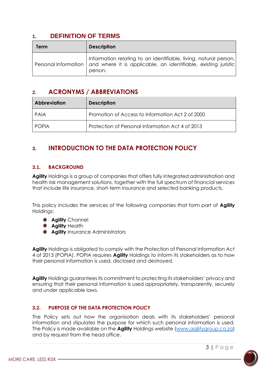# <span id="page-2-0"></span>**1. DEFINITION OF TERMS**

| Term | <b>Description</b>                                                                                                                                                   |
|------|----------------------------------------------------------------------------------------------------------------------------------------------------------------------|
|      | Information relating to an identifiable, living, natural person,<br>Personal Information   and where it is applicable, an identifiable, existing juristic<br>person. |

# <span id="page-2-1"></span>**2. ACRONYMS / ABBREVIATIONS**

| <b>Abbreviation</b> | <b>Description</b>                               |
|---------------------|--------------------------------------------------|
| PAIA                | Promotion of Access to Information Act 2 of 2000 |
| <b>POPIA</b>        | Protection of Personal Information Act 4 of 2013 |

# <span id="page-2-2"></span>**3. INTRODUCTION TO THE DATA PROTECTION POLICY**

## <span id="page-2-3"></span>**3.1. BACKGROUND**

**Agility** Holdings is a group of companies that offers fully integrated administration and health risk management solutions, together with the full spectrum of financial services that include life insurance, short-term insurance and selected banking products.

This policy includes the services of the following companies that form part of **Agility** Holdings:

- **Agility** Channel
- **Agility** Health
- **Agility** Insurance Administrators

**Agility** Holdings is obligated to comply with the Protection of Personal Information Act 4 of 2013 (POPIA). POPIA requires **Agility** Holdings to inform its stakeholders as to how their personal information is used, disclosed and destroyed.

**Agility** Holdings guarantees its commitment to protecting its stakeholders' privacy and ensuring that their personal information is used appropriately, transparently, securely and under applicable laws.

## <span id="page-2-4"></span>**3.2. PURPOSE OF THE DATA PROTECTION POLICY**

The Policy sets out how the organisation deals with its stakeholders' personal information and stipulates the purpose for which such personal information is used. The Policy is made available on the **Agility** Holdings website [\(www.agilitygroup.co.za\)](http://www.agilitygroup.co.za/) and by request from the head office.

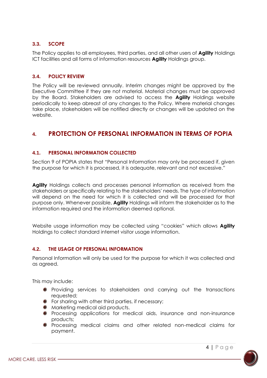#### <span id="page-3-0"></span>**3.3. SCOPE**

The Policy applies to all employees, third parties, and all other users of **Agility** Holdings ICT facilities and all forms of information resources **Agility** Holdings group.

#### <span id="page-3-1"></span>**3.4. POLICY REVIEW**

The Policy will be reviewed annually. Interim changes might be approved by the Executive Committee if they are not material. Material changes must be approved by the Board. Stakeholders are advised to access the **Agility** Holdings website periodically to keep abreast of any changes to the Policy. Where material changes take place, stakeholders will be notified directly or changes will be updated on the website.

# <span id="page-3-2"></span>**4. PROTECTION OF PERSONAL INFORMATION IN TERMS OF POPIA**

#### <span id="page-3-3"></span>**4.1. PERSONAL INFORMATION COLLECTED**

Section 9 of POPIA states that "Personal Information may only be processed if, given the purpose for which it is processed, it is adequate, relevant and not excessive."

**Agility** Holdings collects and processes personal information as received from the stakeholders or specifically relating to the stakeholders' needs. The type of information will depend on the need for which it is collected and will be processed for that purpose only. Whenever possible, **Agility** Holdings will inform the stakeholder as to the information required and the information deemed optional.

Website usage information may be collected using "cookies" which allows **Agility** Holdings to collect standard internet visitor usage information.

#### <span id="page-3-4"></span>**4.2. THE USAGE OF PERSONAL INFORMATION**

Personal Information will only be used for the purpose for which it was collected and as agreed.

This may include:

- **•** Providing services to stakeholders and carrying out the transactions requested;
- **•** For sharing with other third parties, if necessary;
- $\bullet$  Marketing medical aid products.
- **•** Processing applications for medical aids, insurance and non-insurance products;
- Processing medical claims and other related non-medical claims for payment.

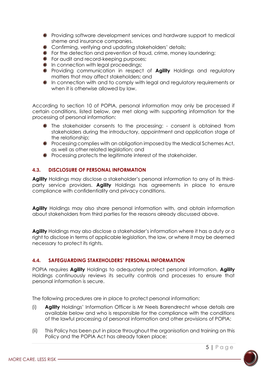- Providing software development services and hardware support to medical sheme and insurance companies.
- Confirming, verifying and updating stakeholders' details;
- **•** For the detection and prevention of fraud, crime, money laundering;
- **•** For audit and record-keeping purposes:
- **In connection with legal proceedings;**
- **P** Providing communication in respect of **Agility** Holdings and regulatory matters that may affect stakeholders; and
- In connection with and to comply with legal and regulatory requirements or when it is otherwise allowed by law.

According to section 10 of POPIA, personal information may only be processed if certain conditions, listed below, are met along with supporting information for the processing of personal information:

- The stakeholder consents to the processing: consent is obtained from stakeholders during the introductory, appointment and application stage of the relationship;
- **P** Processing complies with an obligation imposed by the Medical Schemes Act, as well as other related legislation; and
- **Processing protects the legitimate interest of the stakeholder.**

#### <span id="page-4-0"></span>**4.3. DISCLOSURE OF PERSONAL INFORMATION**

**Agility** Holdings may disclose a stakeholder's personal information to any of its thirdparty service providers. **Agility** Holdings has agreements in place to ensure compliance with confidentiality and privacy conditions.

**Agility** Holdings may also share personal information with, and obtain information about stakeholders from third parties for the reasons already discussed above.

**Agility** Holdings may also disclose a stakeholder's information where it has a duty or a right to disclose in terms of applicable legislation, the law, or where it may be deemed necessary to protect its rights.

#### <span id="page-4-1"></span>**4.4. SAFEGUARDING STAKEHOLDERS' PERSONAL INFORMATION**

POPIA requires **Agility** Holdings to adequately protect personal information. **Agility** Holdings continuously reviews its security controls and processes to ensure that personal information is secure.

The following procedures are in place to protect personal information:

- (i) **Agility** Holdings' Information Officer is Mr Neels Barendrecht whose details are available below and who is responsible for the compliance with the conditions of the lawful processing of personal information and other provisions of POPIA;
- (ii) This Policy has been put in place throughout the organisation and training on this Policy and the POPIA Act has already taken place;

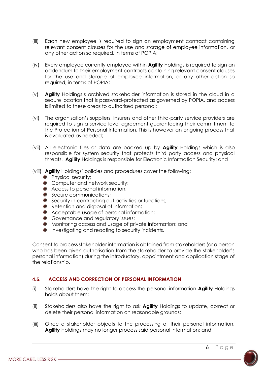- (iii) Each new employee is required to sign an employment contract containing relevant consent clauses for the use and storage of employee information, or any other action so required, in terms of POPIA;
- (iv) Every employee currently employed within **Agility** Holdings is required to sign an addendum to their employment contracts containing relevant consent clauses for the use and storage of employee information, or any other action so required, in terms of POPIA;
- (v) **Agility** Holdings's archived stakeholder information is stored in the cloud in a secure location that is password-protected as governed by POPIA, and access is limited to these areas to authorised personal;
- (vi) The organisation's suppliers, insurers and other third-party service providers are required to sign a service level agreement guaranteeing their commitment to the Protection of Personal Information. This is however an ongoing process that is evaluated as needed;
- (vii) All electronic files or data are backed up by **Agility** Holdings which is also responsible for system security that protects third party access and physical threats. **Agility** Holdings is responsible for Electronic Information Security; and
- (viii) **Agility** Holdings' policies and procedures cover the following:
	- **•** Physical security;
	- **Computer and network security;**
	- **Access to personal information;**
	- Secure communications:
	- Security in contracting out activities or functions:
	- **•** Retention and disposal of information;
	- Acceptable usage of personal information;
	- **Governance and requiatory issues;**
	- $\bullet$  Monitoring access and usage of private information; and
	- **Investigating and reacting to security incidents.**

Consent to process stakeholder information is obtained from stakeholders (or a person who has been given authorisation from the stakeholder to provide the stakeholder's personal information) during the introductory, appointment and application stage of the relationship.

#### <span id="page-5-0"></span>**4.5. ACCESS AND CORRECTION OF PERSONAL INFORMATION**

- (i) Stakeholders have the right to access the personal information **Agility** Holdings holds about them;
- (ii) Stakeholders also have the right to ask **Agility** Holdings to update, correct or delete their personal information on reasonable grounds;
- (iii) Once a stakeholder objects to the processing of their personal information, **Agility** Holdings may no longer process said personal information; and

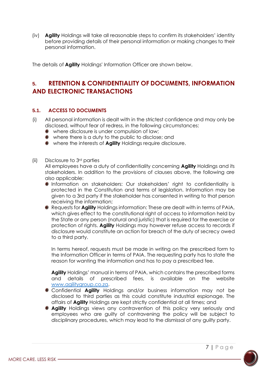(iv) **Agility** Holdings will take all reasonable steps to confirm its stakeholders' identity before providing details of their personal information or making changes to their personal information.

The details of **Agility** Holdings' Information Officer are shown below.

# <span id="page-6-0"></span>**5. RETENTION & CONFIDENTIALITY OF DOCUMENTS, INFORMATION AND ELECTRONIC TRANSACTIONS**

#### <span id="page-6-1"></span>**5.1. ACCESS TO DOCUMENTS**

- (i) All personal information is dealt with in the strictest confidence and may only be disclosed, without fear of redress, in the following circumstances:
	- where disclosure is under compulsion of law;
	- where there is a duty to the public to disclose; and
	- where the interests of **Agility** Holdings require disclosure.

#### (ii) Disclosure to 3rd parties

All employees have a duty of confidentiality concerning **Agility** Holdings and its stakeholders. In addition to the provisions of clauses above, the following are also applicable:

- Information on stakeholders: Our stakeholders' right to confidentiality is protected in the Constitution and terms of legislation. Information may be given to a 3rd party if the stakeholder has consented in writing to that person receiving the information;
- Requests for **Agility** Holdings information: These are dealt with in terms of PAIA, which gives effect to the constitutional right of access to information held by the State or any person (natural and juristic) that is required for the exercise or protection of rights. **Agility** Holdings may however refuse access to records if disclosure would constitute an action for breach of the duty of secrecy owed to a third party.

In terms hereof, requests must be made in writing on the prescribed form to the Information Officer in terms of PAIA. The requesting party has to state the reason for wanting the information and has to pay a prescribed fee.

**Agility** Holdings' manual in terms of PAIA, which contains the prescribed forms and details of prescribed fees, is available on the website [www.agilitygroup.co.za.](http://www.agilitygroup.co.za/)

- Confidential **Agility** Holdings and/or business information may not be disclosed to third parties as this could constitute industrial espionage. The affairs of **Agility** Holdings are kept strictly confidential at all times; and
- **Agility** Holdings views any contravention of this policy very seriously and employees who are guilty of contravening the policy will be subject to disciplinary procedures, which may lead to the dismissal of any guilty party.